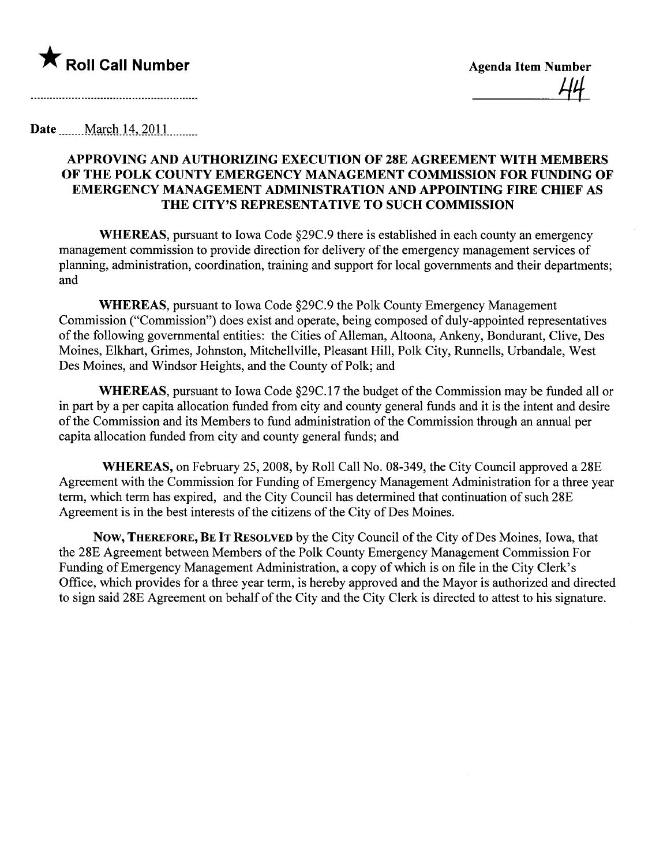

Date  $\qquad$  March 14, 2011

## APPROVING AND AUTHORIZING EXECUTION OF 28E AGREEMENT WITH MEMBERS OF THE POLK COUNTY EMERGENCY MANAGEMENT COMMISSION FOR FUNDING OF EMERGENCY MANAGEMENT ADMINISTRATION AND APPOINTING FIRE CHIEF AS THE CITY'S REPRESENTATIVE TO SUCH COMMISSION

WHEREAS, pursuant to Iowa Code §29C.9 there is established in each county an emergency management commission to provide direction for delivery of the emergency management services of planning, administration, coordination, training and support for local governments and their departments; and

WHEREAS, pursuant to Iowa Code §29C.9 the Polk County Emergency Management Commission ("Commission") does exist and operate, being composed of duly-appointed representatives ofthe following governental entities: the Cities of Alleman, Altoona, Ankeny, Bondurant, Clive, Des Moines, Elkhart, Grimes, Johnston, Mitchellvile, Pleasant Hil, Polk City, Runnells, Urbandale, West Des Moines, and Windsor Heights, and the County of Polk; and

WHEREAS, pursuant to Iowa Code §29C.17 the budget of the Commission may be funded all or in part by a per capita allocation funded from city and county general funds and it is the intent and desire of the Commission and its Members to fund administration of the Commission through an annual per capita allocation funded from city and county general funds; and

WHEREAS, on February 25, 2008, by Roll Call No. 08-349, the City Council approved a 28E Agreement with the Commission for Funding of Emergency Management Administration for a three year term, which term has expired, and the City Council has determined that continuation of such 28E Agreement is in the best interests of the citizens of the City of Des Moines.

NOW, THEREFORE, BE IT RESOLVED by the City Council of the City of Des Moines, Iowa, that the 28E Agreement between Members of the Polk County Emergency Management Commission For Funding of Emergency Management Administration, a copy of which is on fie in the City Clerk's Office, which provides for a three year term, is hereby approved and the Mayor is authorized and directed to sign said 28E Agreement on behalf of the City and the City Clerk is directed to attest to his signature.